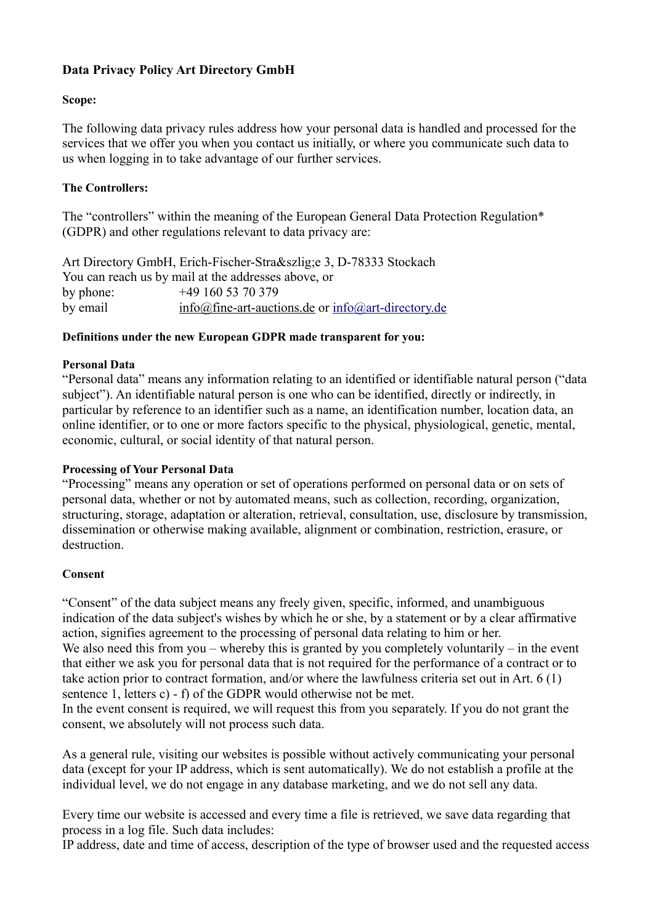# **Data Privacy Policy Art Directory GmbH**

### **Scope:**

The following data privacy rules address how your personal data is handled and processed for the services that we offer you when you contact us initially, or where you communicate such data to us when logging in to take advantage of our further services.

## **The Controllers:**

The "controllers" within the meaning of the European General Data Protection Regulation\* (GDPR) and other regulations relevant to data privacy are:

Art Directory GmbH, Erich-Fischer-Straße 3, D-78333 Stockach You can reach us by mail at the addresses above, or by phone: +49 160 53 70 379 by email info@fine-art-auctions.de or [info@art-directory.de](mailto:info@art-directory.de)

#### **Definitions under the new European GDPR made transparent for you:**

#### **Personal Data**

"Personal data" means any information relating to an identified or identifiable natural person ("data subject"). An identifiable natural person is one who can be identified, directly or indirectly, in particular by reference to an identifier such as a name, an identification number, location data, an online identifier, or to one or more factors specific to the physical, physiological, genetic, mental, economic, cultural, or social identity of that natural person.

#### **Processing of Your Personal Data**

"Processing" means any operation or set of operations performed on personal data or on sets of personal data, whether or not by automated means, such as collection, recording, organization, structuring, storage, adaptation or alteration, retrieval, consultation, use, disclosure by transmission, dissemination or otherwise making available, alignment or combination, restriction, erasure, or destruction.

#### **Consent**

"Consent" of the data subject means any freely given, specific, informed, and unambiguous indication of the data subject's wishes by which he or she, by a statement or by a clear affirmative action, signifies agreement to the processing of personal data relating to him or her. We also need this from you – whereby this is granted by you completely voluntarily – in the event that either we ask you for personal data that is not required for the performance of a contract or to take action prior to contract formation, and/or where the lawfulness criteria set out in Art. 6 (1)

sentence 1, letters c) - f) of the GDPR would otherwise not be met.

In the event consent is required, we will request this from you separately. If you do not grant the consent, we absolutely will not process such data.

As a general rule, visiting our websites is possible without actively communicating your personal data (except for your IP address, which is sent automatically). We do not establish a profile at the individual level, we do not engage in any database marketing, and we do not sell any data.

Every time our website is accessed and every time a file is retrieved, we save data regarding that process in a log file. Such data includes:

IP address, date and time of access, description of the type of browser used and the requested access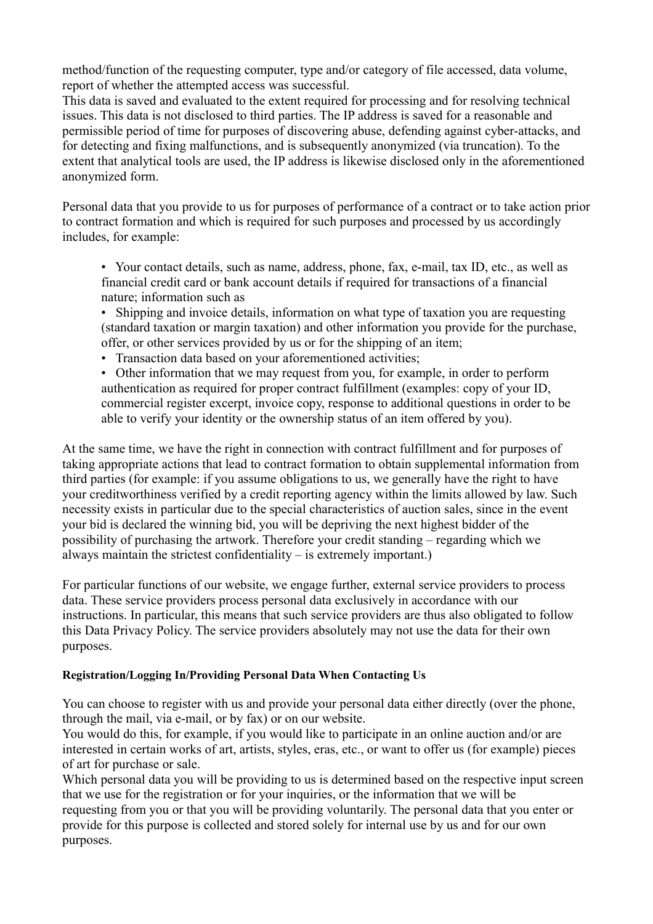method/function of the requesting computer, type and/or category of file accessed, data volume, report of whether the attempted access was successful.

This data is saved and evaluated to the extent required for processing and for resolving technical issues. This data is not disclosed to third parties. The IP address is saved for a reasonable and permissible period of time for purposes of discovering abuse, defending against cyber-attacks, and for detecting and fixing malfunctions, and is subsequently anonymized (via truncation). To the extent that analytical tools are used, the IP address is likewise disclosed only in the aforementioned anonymized form.

Personal data that you provide to us for purposes of performance of a contract or to take action prior to contract formation and which is required for such purposes and processed by us accordingly includes, for example:

• Your contact details, such as name, address, phone, fax, e-mail, tax ID, etc., as well as financial credit card or bank account details if required for transactions of a financial nature; information such as

• Shipping and invoice details, information on what type of taxation you are requesting (standard taxation or margin taxation) and other information you provide for the purchase, offer, or other services provided by us or for the shipping of an item;

• Transaction data based on your aforementioned activities;

• Other information that we may request from you, for example, in order to perform authentication as required for proper contract fulfillment (examples: copy of your ID, commercial register excerpt, invoice copy, response to additional questions in order to be able to verify your identity or the ownership status of an item offered by you).

At the same time, we have the right in connection with contract fulfillment and for purposes of taking appropriate actions that lead to contract formation to obtain supplemental information from third parties (for example: if you assume obligations to us, we generally have the right to have your creditworthiness verified by a credit reporting agency within the limits allowed by law. Such necessity exists in particular due to the special characteristics of auction sales, since in the event your bid is declared the winning bid, you will be depriving the next highest bidder of the possibility of purchasing the artwork. Therefore your credit standing – regarding which we always maintain the strictest confidentiality – is extremely important.)

For particular functions of our website, we engage further, external service providers to process data. These service providers process personal data exclusively in accordance with our instructions. In particular, this means that such service providers are thus also obligated to follow this Data Privacy Policy. The service providers absolutely may not use the data for their own purposes.

#### **Registration/Logging In/Providing Personal Data When Contacting Us**

You can choose to register with us and provide your personal data either directly (over the phone, through the mail, via e-mail, or by fax) or on our website.

You would do this, for example, if you would like to participate in an online auction and/or are interested in certain works of art, artists, styles, eras, etc., or want to offer us (for example) pieces of art for purchase or sale.

Which personal data you will be providing to us is determined based on the respective input screen that we use for the registration or for your inquiries, or the information that we will be requesting from you or that you will be providing voluntarily. The personal data that you enter or provide for this purpose is collected and stored solely for internal use by us and for our own purposes.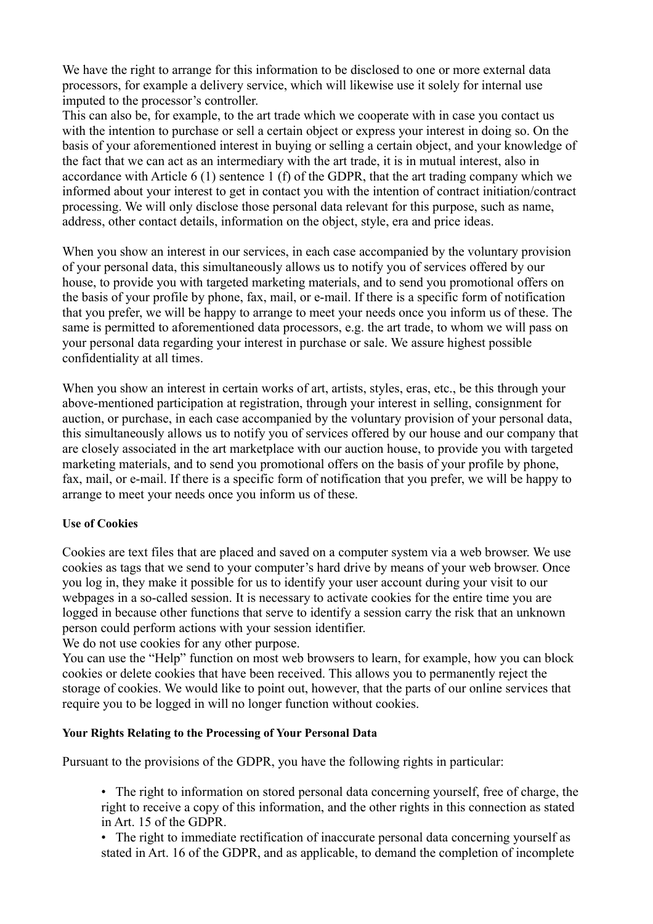We have the right to arrange for this information to be disclosed to one or more external data processors, for example a delivery service, which will likewise use it solely for internal use imputed to the processor's controller.

This can also be, for example, to the art trade which we cooperate with in case you contact us with the intention to purchase or sell a certain object or express your interest in doing so. On the basis of your aforementioned interest in buying or selling a certain object, and your knowledge of the fact that we can act as an intermediary with the art trade, it is in mutual interest, also in accordance with Article 6 (1) sentence 1 (f) of the GDPR, that the art trading company which we informed about your interest to get in contact you with the intention of contract initiation/contract processing. We will only disclose those personal data relevant for this purpose, such as name, address, other contact details, information on the object, style, era and price ideas.

When you show an interest in our services, in each case accompanied by the voluntary provision of your personal data, this simultaneously allows us to notify you of services offered by our house, to provide you with targeted marketing materials, and to send you promotional offers on the basis of your profile by phone, fax, mail, or e-mail. If there is a specific form of notification that you prefer, we will be happy to arrange to meet your needs once you inform us of these. The same is permitted to aforementioned data processors, e.g. the art trade, to whom we will pass on your personal data regarding your interest in purchase or sale. We assure highest possible confidentiality at all times.

When you show an interest in certain works of art, artists, styles, eras, etc., be this through your above-mentioned participation at registration, through your interest in selling, consignment for auction, or purchase, in each case accompanied by the voluntary provision of your personal data, this simultaneously allows us to notify you of services offered by our house and our company that are closely associated in the art marketplace with our auction house, to provide you with targeted marketing materials, and to send you promotional offers on the basis of your profile by phone, fax, mail, or e-mail. If there is a specific form of notification that you prefer, we will be happy to arrange to meet your needs once you inform us of these.

# **Use of Cookies**

Cookies are text files that are placed and saved on a computer system via a web browser. We use cookies as tags that we send to your computer's hard drive by means of your web browser. Once you log in, they make it possible for us to identify your user account during your visit to our webpages in a so-called session. It is necessary to activate cookies for the entire time you are logged in because other functions that serve to identify a session carry the risk that an unknown person could perform actions with your session identifier.

We do not use cookies for any other purpose.

You can use the "Help" function on most web browsers to learn, for example, how you can block cookies or delete cookies that have been received. This allows you to permanently reject the storage of cookies. We would like to point out, however, that the parts of our online services that require you to be logged in will no longer function without cookies.

#### **Your Rights Relating to the Processing of Your Personal Data**

Pursuant to the provisions of the GDPR, you have the following rights in particular:

• The right to information on stored personal data concerning yourself, free of charge, the right to receive a copy of this information, and the other rights in this connection as stated in Art. 15 of the GDPR.

• The right to immediate rectification of inaccurate personal data concerning yourself as stated in Art. 16 of the GDPR, and as applicable, to demand the completion of incomplete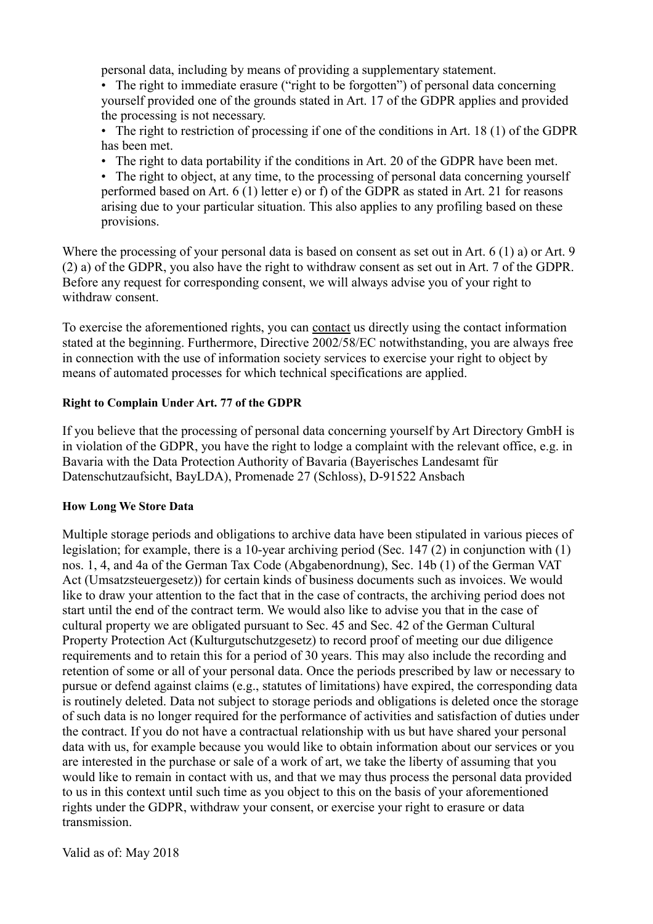personal data, including by means of providing a supplementary statement.

• The right to immediate erasure ("right to be forgotten") of personal data concerning yourself provided one of the grounds stated in Art. 17 of the GDPR applies and provided the processing is not necessary.

• The right to restriction of processing if one of the conditions in Art. 18 (1) of the GDPR has been met.

• The right to data portability if the conditions in Art. 20 of the GDPR have been met.

• The right to object, at any time, to the processing of personal data concerning yourself performed based on Art. 6 (1) letter e) or f) of the GDPR as stated in Art. 21 for reasons arising due to your particular situation. This also applies to any profiling based on these provisions.

Where the processing of your personal data is based on consent as set out in Art. 6 (1) a) or Art. 9 (2) a) of the GDPR, you also have the right to withdraw consent as set out in Art. 7 of the GDPR. Before any request for corresponding consent, we will always advise you of your right to withdraw consent.

To exercise the aforementioned rights, you can contact us directly using the contact information stated at the beginning. Furthermore, Directive 2002/58/EC notwithstanding, you are always free in connection with the use of information society services to exercise your right to object by means of automated processes for which technical specifications are applied.

### **Right to Complain Under Art. 77 of the GDPR**

If you believe that the processing of personal data concerning yourself by Art Directory GmbH is in violation of the GDPR, you have the right to lodge a complaint with the relevant office, e.g. in Bavaria with the Data Protection Authority of Bavaria (Bayerisches Landesamt für Datenschutzaufsicht, BayLDA), Promenade 27 (Schloss), D-91522 Ansbach

#### **How Long We Store Data**

Multiple storage periods and obligations to archive data have been stipulated in various pieces of legislation; for example, there is a 10-year archiving period (Sec. 147 (2) in conjunction with (1) nos. 1, 4, and 4a of the German Tax Code (Abgabenordnung), Sec. 14b (1) of the German VAT Act (Umsatzsteuergesetz)) for certain kinds of business documents such as invoices. We would like to draw your attention to the fact that in the case of contracts, the archiving period does not start until the end of the contract term. We would also like to advise you that in the case of cultural property we are obligated pursuant to Sec. 45 and Sec. 42 of the German Cultural Property Protection Act (Kulturgutschutzgesetz) to record proof of meeting our due diligence requirements and to retain this for a period of 30 years. This may also include the recording and retention of some or all of your personal data. Once the periods prescribed by law or necessary to pursue or defend against claims (e.g., statutes of limitations) have expired, the corresponding data is routinely deleted. Data not subject to storage periods and obligations is deleted once the storage of such data is no longer required for the performance of activities and satisfaction of duties under the contract. If you do not have a contractual relationship with us but have shared your personal data with us, for example because you would like to obtain information about our services or you are interested in the purchase or sale of a work of art, we take the liberty of assuming that you would like to remain in contact with us, and that we may thus process the personal data provided to us in this context until such time as you object to this on the basis of your aforementioned rights under the GDPR, withdraw your consent, or exercise your right to erasure or data transmission.

Valid as of: May 2018